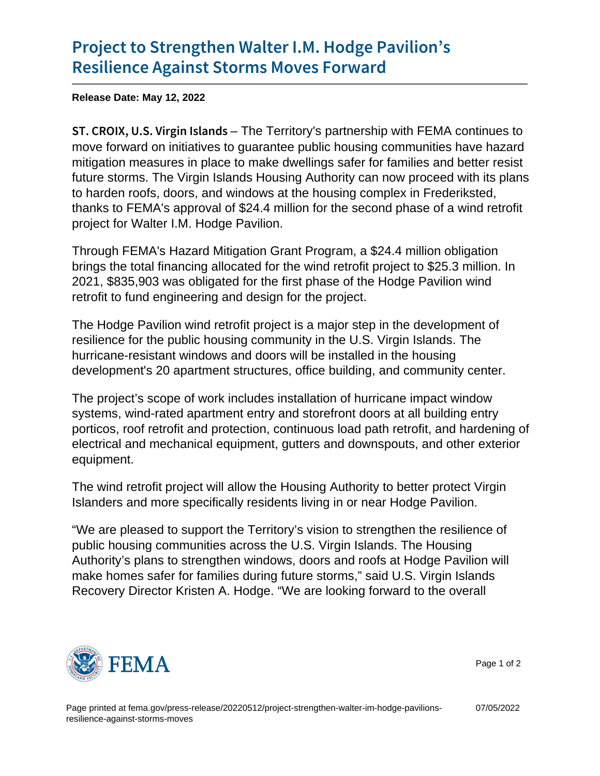## [Project to Strengthen Walter I](https://www.fema.gov/press-release/20220512/project-strengthen-walter-im-hodge-pavilions-resilience-against-storms-moves).M. Hodge P [Resilience Against Storm](https://www.fema.gov/press-release/20220512/project-strengthen-walter-im-hodge-pavilions-resilience-against-storms-moves)s Moves Forward

Release Date: May 12, 2022

ST. CROIX, U.S. Villing illetritory but all provided vith FEMA continues to move forward on initiatives to guarantee public housing communities have hazard mitigation measures in place to make dwellings safer for families and better resist future storms. The Virgin Islands Housing Authority can now proceed with its plans to harden roofs, doors, and windows at the housing complex in Frederiksted, thanks to FEMA's approval of \$24.4 million for the second phase of a wind retrofit project for Walter I.M. Hodge Pavilion.

Through FEMA's Hazard Mitigation Grant Program, a \$24.4 million obligation brings the total financing allocated for the wind retrofit project to \$25.3 million. In 2021, \$835,903 was obligated for the first phase of the Hodge Pavilion wind retrofit to fund engineering and design for the project.

The Hodge Pavilion wind retrofit project is a major step in the development of resilience for the public housing community in the U.S. Virgin Islands. The hurricane-resistant windows and doors will be installed in the housing development's 20 apartment structures, office building, and community center.

The project's scope of work includes installation of hurricane impact window systems, wind-rated apartment entry and storefront doors at all building entry porticos, roof retrofit and protection, continuous load path retrofit, and hardening of electrical and mechanical equipment, gutters and downspouts, and other exterior equipment.

The wind retrofit project will allow the Housing Authority to better protect Virgin Islanders and more specifically residents living in or near Hodge Pavilion.

"We are pleased to support the Territory's vision to strengthen the resilience of public housing communities across the U.S. Virgin Islands. The Housing Authority's plans to strengthen windows, doors and roofs at Hodge Pavilion will make homes safer for families during future storms," said U.S. Virgin Islands Recovery Director Kristen A. Hodge. "We are looking forward to the overall



Page 1 of 2